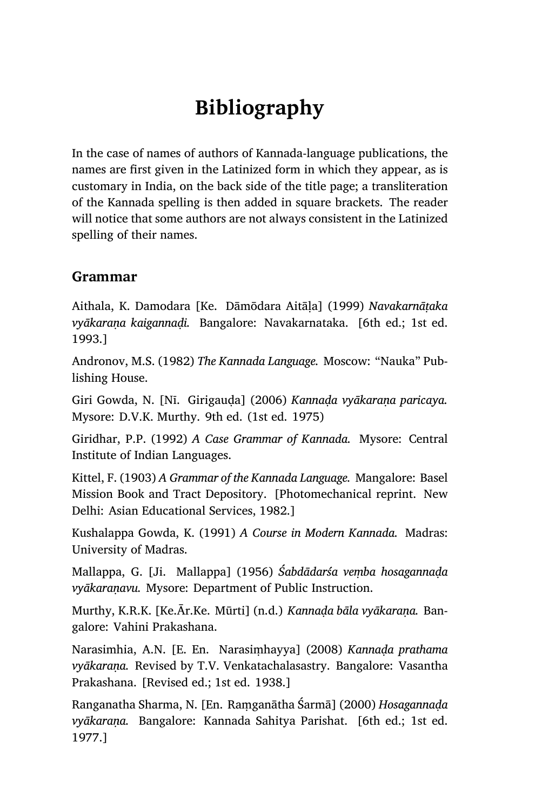# **Bibliography**

In the case of names of authors of Kannada-language publications, the names are first given in the Latinized form in which they appear, as is customary in India, on the back side of the title page; a transliteration of the Kannada spelling is then added in square brackets. The reader will notice that some authors are not always consistent in the Latinized spelling of their names.

#### **Grammar**

Aithala, K. Damodara [Ke. Dāmōdara Aitāḷa] (1999) *Navakarnāṭaka vyākaraṇa kaigannaḍi.* Bangalore: Navakarnataka. [6th ed.; 1st ed. 1993.]

Andronov, M.S. (1982) *The Kannada Language.* Moscow: "Nauka" Publishing House.

Giri Gowda, N. [Nī. Girigauḍa] (2006) *Kannaḍa vyākaraṇa paricaya.* Mysore: D.V.K. Murthy. 9th ed. (1st ed. 1975)

Giridhar, P.P. (1992) *A Case Grammar of Kannada.* Mysore: Central Institute of Indian Languages.

Kittel, F. (1903) *A Grammar of the Kannada Language.* Mangalore: Basel Mission Book and Tract Depository. [Photomechanical reprint. New Delhi: Asian Educational Services, 1982.]

Kushalappa Gowda, K. (1991) *A Course in Modern Kannada.* Madras: University of Madras.

Mallappa, G. [Ji. Mallappa] (1956) *Śabdādarśa veṃba hosagannaḍa vyākaraṇavu.* Mysore: Department of Public Instruction.

Murthy, K.R.K. [Ke.Ār.Ke. Mūrti] (n.d.) *Kannaḍa bāla vyākaraṇa.* Bangalore: Vahini Prakashana.

Narasimhia, A.N. [E. En. Narasiṃhayya] (2008) *Kannaḍa prathama vyākaraṇa.* Revised by T.V. Venkatachalasastry. Bangalore: Vasantha Prakashana. [Revised ed.; 1st ed. 1938.]

Ranganatha Sharma, N. [En. Raṃganātha Śarmā] (2000) *Hosagannaḍa vyākaraṇa.* Bangalore: Kannada Sahitya Parishat. [6th ed.; 1st ed. 1977.]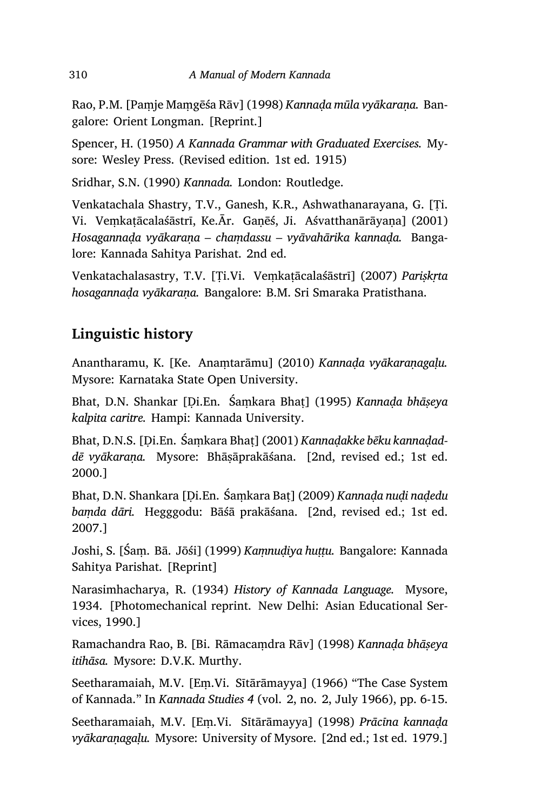Rao, P.M. [Paṃje Maṃgēśa Rāv] (1998) *Kannaḍa mūla vyākaraṇa.* Bangalore: Orient Longman. [Reprint.]

Spencer, H. (1950) *A Kannada Grammar with Graduated Exercises.* Mysore: Wesley Press. (Revised edition. 1st ed. 1915)

Sridhar, S.N. (1990) *Kannada.* London: Routledge.

Venkatachala Shastry, T.V., Ganesh, K.R., Ashwathanarayana, G. [Ṭi. Vi. Veṃkaṭācalaśāstrī, Ke.Ār. Gaṇēś, Ji. Aśvatthanārāyaṇa] (2001) *Hosagannaḍa vyākaraṇa – chaṃdassu – vyāvahārika kannaḍa.* Bangalore: Kannada Sahitya Parishat. 2nd ed.

Venkatachalasastry, T.V. [Ṭi.Vi. Veṃkaṭācalaśāstrī] (2007) *Pariṣkṛta hosagannaḍa vyākaraṇa.* Bangalore: B.M. Sri Smaraka Pratisthana.

### **Linguistic history**

Anantharamu, K. [Ke. Anaṃtarāmu] (2010) *Kannaḍa vyākaraṇagaḷu.* Mysore: Karnataka State Open University.

Bhat, D.N. Shankar [Ḍi.En. Śaṃkara Bhaṭ] (1995) *Kannaḍa bhāṣeya kalpita caritre.* Hampi: Kannada University.

Bhat, D.N.S. [Ḍi.En. Śaṃkara Bhaṭ] (2001) *Kannaḍakke bēku kannaḍaddē vyākaraṇa.* Mysore: Bhāṣāprakāśana. [2nd, revised ed.; 1st ed. 2000.]

Bhat, D.N. Shankara [Ḍi.En. Śaṃkara Baṭ] (2009) *Kannaḍa nuḍi naḍedu baṃda dāri.* Hegggodu: Bāśā prakāśana. [2nd, revised ed.; 1st ed. 2007.]

Joshi, S. [Śaṃ. Bā. Jōśi] (1999) *Kaṃnuḍiya huṭṭu.* Bangalore: Kannada Sahitya Parishat. [Reprint]

Narasimhacharya, R. (1934) *History of Kannada Language.* Mysore, 1934. [Photomechanical reprint. New Delhi: Asian Educational Services, 1990.]

Ramachandra Rao, B. [Bi. Rāmacaṃdra Rāv] (1998) *Kannaḍa bhāṣeya itihāsa.* Mysore: D.V.K. Murthy.

Seetharamaiah, M.V. [Eṃ.Vi. Sītārāmayya] (1966) "The Case System of Kannada." In *Kannada Studies 4* (vol. 2, no. 2, July 1966), pp. 6‑15.

Seetharamaiah, M.V. [Eṃ.Vi. Sītārāmayya] (1998) *Prācīna kannaḍa vyākaraṇagaḷu.* Mysore: University of Mysore. [2nd ed.; 1st ed. 1979.]